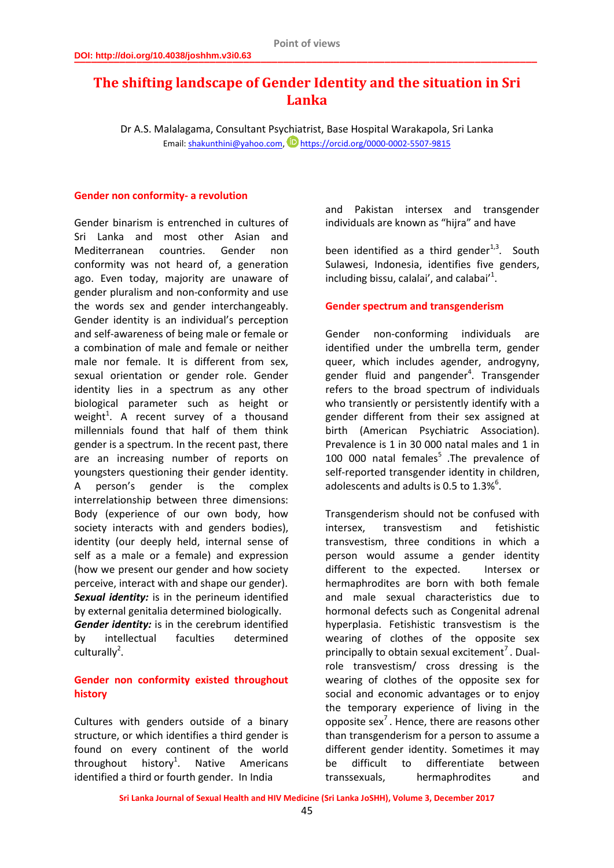# **The shifting landscape of Gender Identity and the situation in Sri Lanka**

Dr A.S. Malalagama, Consultant Psychiatrist, Base Hospital Warakapola, Sri Lanka Email[: shakunthini@yahoo.com,](mailto:shakunthini@yahoo.com)  $\bullet$  <https://orcid.org/0000-0002-5507-9815>

#### **Gender non conformity- a revolution**

Gender binarism is entrenched in cultures of Sri Lanka and most other Asian and Mediterranean countries. Gender non conformity was not heard of, a generation ago. Even today, majority are unaware of gender pluralism and non-conformity and use the words sex and gender interchangeably. Gender identity is an individual's perception and self-awareness of being male or female or a combination of male and female or neither male nor female. It is different from sex, sexual orientation or gender role. Gender identity lies in a spectrum as any other biological parameter such as height or weight<sup>1</sup>. A recent survey of a thousand millennials found that half of them think gender is a spectrum. In the recent past, there are an increasing number of reports on youngsters questioning their gender identity. A person's gender is the complex interrelationship between three dimensions: Body (experience of our own body, how society interacts with and genders bodies), identity (our deeply held, internal sense of self as a male or a female) and expression (how we present our gender and how society perceive, interact with and shape our gender). *Sexual identity:* is in the perineum identified by external genitalia determined biologically. *Gender identity:* is in the cerebrum identified by intellectual faculties determined  $cuturally<sup>2</sup>$ .

### **Gender non conformity existed throughout history**

Cultures with genders outside of a binary structure, or which identifies a third gender is found on every continent of the world throughout history<sup>1</sup>. . Native Americans identified a third or fourth gender. In India

and Pakistan intersex and transgender individuals are known as "hijra" and have

been identified as a third gender $1,3$ . South Sulawesi, Indonesia, identifies five genders, including bissu, calalai', and calabai'<sup>1</sup>.

### **Gender spectrum and transgenderism**

Gender non-conforming individuals are identified under the umbrella term, gender queer, which includes agender, androgyny, gender fluid and pangender<sup>4</sup>. Transgender refers to the broad spectrum of individuals who transiently or persistently identify with a gender different from their sex assigned at birth (American Psychiatric Association). Prevalence is 1 in 30 000 natal males and 1 in 100 000 natal females<sup>5</sup> .The prevalence of self-reported transgender identity in children, adolescents and adults is 0.5 to  $1.3\%$ <sup>6</sup>.

Transgenderism should not be confused with intersex, transvestism and fetishistic transvestism, three conditions in which a person would assume a gender identity different to the expected. Intersex or hermaphrodites are born with both female and male sexual characteristics due to hormonal defects such as Congenital adrenal hyperplasia. Fetishistic transvestism is the wearing of clothes of the opposite sex principally to obtain sexual excitement<sup>7</sup>. Dualrole transvestism/ cross dressing is the wearing of clothes of the opposite sex for social and economic advantages or to enjoy the temporary experience of living in the opposite sex<sup>7</sup>. Hence, there are reasons other than transgenderism for a person to assume a different gender identity. Sometimes it may be difficult to differentiate between transsexuals, hermaphrodites and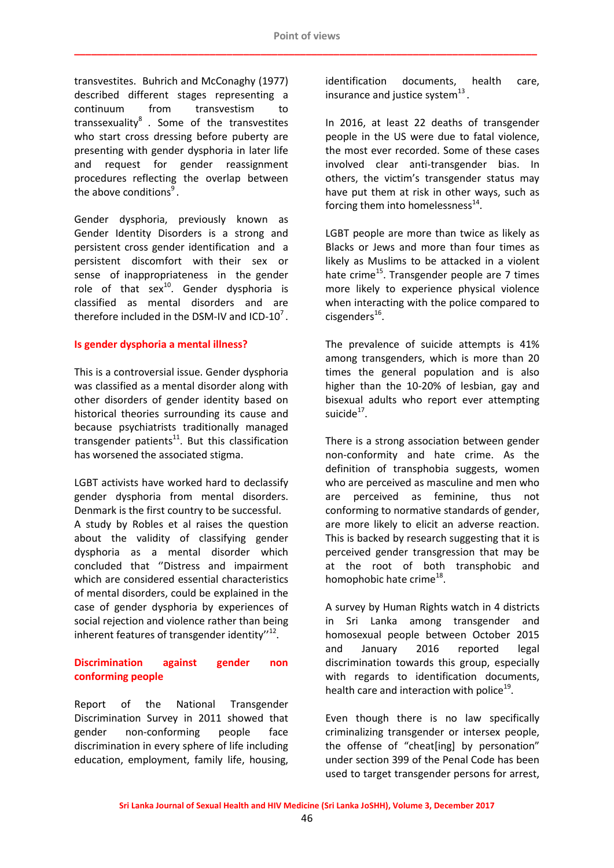transvestites. Buhrich and McConaghy (1977) described different stages representing a continuum from transvestism to transsexuality $^8$  . Some of the transvestites who start cross dressing before puberty are presenting with gender dysphoria in later life and request for gender reassignment procedures reflecting the overlap between the above conditions<sup>9</sup>.

Gender dysphoria, previously known as Gender Identity Disorders is a strong and persistent cross gender identification and a persistent discomfort with their sex or sense of inappropriateness in the gender role of that  $sex^{10}$ . Gender dysphoria is classified as mental disorders and are therefore included in the DSM-IV and ICD-10<sup>7</sup>.

### **Is gender dysphoria a mental illness?**

This is a controversial issue. Gender dysphoria was classified as a mental disorder along with other disorders of gender identity based on historical theories surrounding its cause and because psychiatrists traditionally managed transgender patients $^{11}$ . But this classification has worsened the associated stigma.

LGBT activists have worked hard to declassify gender dysphoria from mental disorders. Denmark is the first country to be successful. A study by Robles et al raises the question about the validity of classifying gender dysphoria as a mental disorder which concluded that ''Distress and impairment which are considered essential characteristics of mental disorders, could be explained in the case of gender dysphoria by experiences of social rejection and violence rather than being inherent features of transgender identity"<sup>12</sup>.

# **Discrimination against gender non conforming people**

Report of the National Transgender Discrimination Survey in 2011 showed that gender non-conforming people face discrimination in every sphere of life including education, employment, family life, housing,

identification documents, health care, insurance and justice system $^{13}$ .

In 2016, at least 22 deaths of transgender people in the US were due to fatal violence, the most ever recorded. Some of these cases involved clear anti-transgender bias. In others, the victim's transgender status may have put them at risk in other ways, such as forcing them into homelessness<sup>14</sup>.

LGBT people are more than twice as likely as Blacks or Jews and more than four times as likely as Muslims to be attacked in a violent hate crime<sup>15</sup>. Transgender people are  $7$  times more likely to experience physical violence when interacting with the police compared to cisgenders<sup>16</sup>.

The prevalence of suicide attempts is 41% among transgenders, which is more than 20 times the general population and is also higher than the 10-20% of lesbian, gay and bisexual adults who report ever attempting suicide<sup>17</sup>.

There is a strong association between gender non-conformity and hate crime. As the definition of transphobia suggests, women who are perceived as masculine and men who are perceived as feminine, thus not conforming to normative standards of gender, are more likely to elicit an adverse reaction. This is backed by research suggesting that it is perceived gender transgression that may be at the root of both transphobic and homophobic hate crime<sup>18</sup>.

A survey by Human Rights watch in 4 districts in Sri Lanka among transgender and homosexual people between October 2015 and January 2016 reported legal discrimination towards this group, especially with regards to identification documents, health care and interaction with police<sup>19</sup>.

Even though there is no law specifically criminalizing transgender or intersex people, the offense of "cheat[ing] by personation" under section 399 of the Penal Code has been used to target transgender persons for arrest,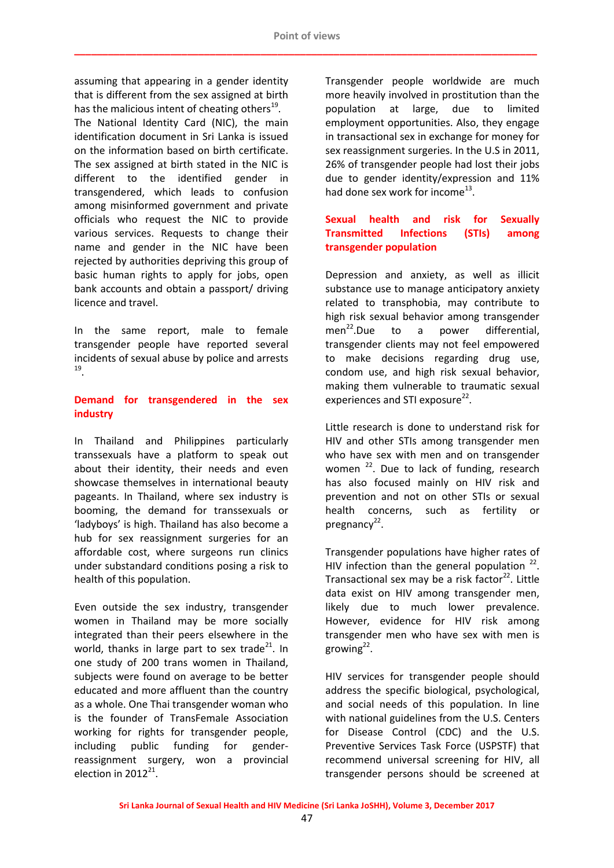assuming that appearing in a gender identity that is different from the sex assigned at birth has the malicious intent of cheating others<sup>19</sup>. The National Identity Card (NIC), the main identification document in Sri Lanka is issued on the information based on birth certificate. The sex assigned at birth stated in the NIC is different to the identified gender in transgendered, which leads to confusion among misinformed government and private officials who request the NIC to provide various services. Requests to change their name and gender in the NIC have been rejected by authorities depriving this group of basic human rights to apply for jobs, open bank accounts and obtain a passport/ driving licence and travel.

In the same report, male to female transgender people have reported several incidents of sexual abuse by police and arrests 19 .

# **Demand for transgendered in the sex industry**

In Thailand and Philippines particularly transsexuals have a platform to speak out about their identity, their needs and even showcase themselves in international beauty pageants. In Thailand, where sex industry is booming, the demand for transsexuals or 'ladyboys' is high. Thailand has also become a hub for sex reassignment surgeries for an affordable cost, where surgeons run clinics under substandard conditions posing a risk to health of this population.

Even outside the sex industry, transgender women in Thailand may be more socially integrated than their peers elsewhere in the world, thanks in large part to sex trade<sup>21</sup>. In one study of 200 trans women in Thailand, subjects were found on average to be better educated and more affluent than the country as a whole. One Thai transgender woman who is the founder of TransFemale Association working for rights for transgender people, including public funding for genderreassignment surgery, won a provincial election in  $2012^{21}$ .

Transgender people worldwide are much more heavily involved in prostitution than the population at large, due to limited employment opportunities. Also, they engage in transactional sex in exchange for money for sex reassignment surgeries. In the U.S in 2011, 26% of transgender people had lost their jobs due to gender identity/expression and 11% had done sex work for income<sup>13</sup>.

# **Sexual health and risk for Sexually Transmitted Infections (STIs) among transgender population**

Depression and anxiety, as well as illicit substance use to manage anticipatory anxiety related to transphobia, may contribute to high risk sexual behavior among transgender men<sup>22</sup>.Due to a power differential, transgender clients may not feel empowered to make decisions regarding drug use, condom use, and high risk sexual behavior, making them vulnerable to traumatic sexual experiences and STI exposure<sup>22</sup>.

Little research is done to understand risk for HIV and other STIs among transgender men who have sex with men and on transgender women  $^{22}$ . Due to lack of funding, research has also focused mainly on HIV risk and prevention and not on other STIs or sexual health concerns, such as fertility or pregnancy<sup>22</sup>.

Transgender populations have higher rates of HIV infection than the general population  $22$ . Transactional sex may be a risk factor<sup>22</sup>. Little data exist on HIV among transgender men, likely due to much lower prevalence. However, evidence for HIV risk among transgender men who have sex with men is growing<sup>22</sup>.

HIV services for transgender people should address the specific biological, psychological, and social needs of this population. In line with national guidelines from the U.S. Centers for Disease Control (CDC) and the U.S. Preventive Services Task Force (USPSTF) that recommend universal screening for HIV, all transgender persons should be screened at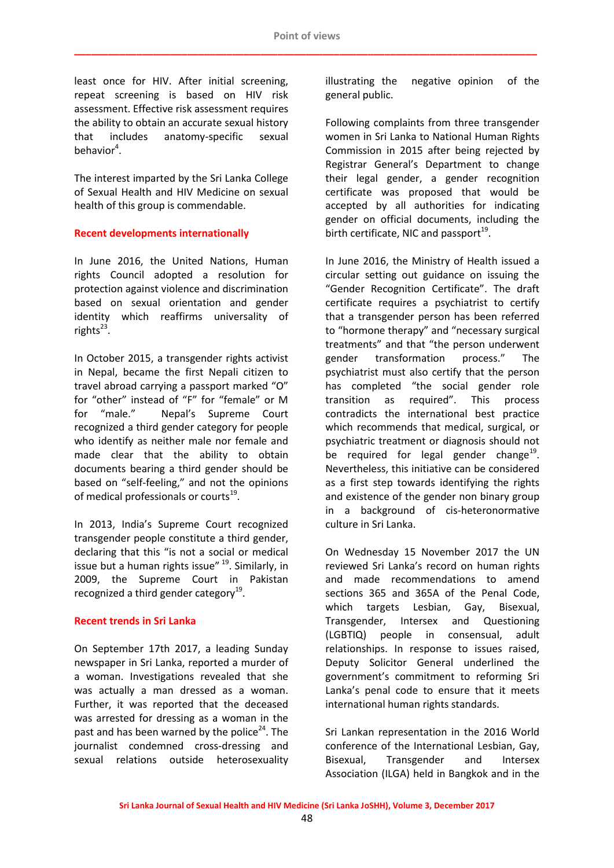least once for HIV. After initial screening, repeat screening is based on HIV risk assessment. Effective risk assessment requires the ability to obtain an accurate sexual history that includes anatomy-specific sexual behavior<sup>4</sup>.

The interest imparted by the Sri Lanka College of Sexual Health and HIV Medicine on sexual health of this group is commendable.

### **Recent developments internationally**

In June 2016, the United Nations, Human rights Council adopted a resolution for protection against violence and discrimination based on sexual orientation and gender identity which reaffirms universality of rights<sup>23</sup>.

In October 2015, a transgender rights activist in Nepal, became the first Nepali citizen to travel abroad carrying a passport marked "O" for "other" instead of "F" for "female" or M for "male." Nepal's Supreme Court recognized a third gender category for people who identify as neither male nor female and made clear that the ability to obtain documents bearing a third gender should be based on "self-feeling," and not the opinions of medical professionals or courts<sup>19</sup>.

In 2013, India's Supreme Court recognized transgender people constitute a third gender, declaring that this "is not a social or medical issue but a human rights issue" <sup>19</sup>. Similarly, in 2009, the Supreme Court in Pakistan recognized a third gender category<sup>19</sup>.

#### **Recent trends in Sri Lanka**

On September 17th 2017, a leading Sunday newspaper in Sri Lanka, reported a murder of a woman. Investigations revealed that she was actually a man dressed as a woman. Further, it was reported that the deceased was arrested for dressing as a woman in the past and has been warned by the police<sup>24</sup>. The journalist condemned cross-dressing and sexual relations outside heterosexuality

illustrating the negative opinion of the general public.

Following complaints from three transgender women in Sri Lanka to National Human Rights Commission in 2015 after being rejected by Registrar General's Department to change their legal gender, a gender recognition certificate was proposed that would be accepted by all authorities for indicating gender on official documents, including the birth certificate, NIC and passport<sup>19</sup>.

In June 2016, the Ministry of Health issued a circular setting out guidance on issuing the "Gender Recognition Certificate". The draft certificate requires a psychiatrist to certify that a transgender person has been referred to "hormone therapy" and "necessary surgical treatments" and that "the person underwent gender transformation process." The psychiatrist must also certify that the person has completed "the social gender role transition as required". This process contradicts the international best practice which recommends that medical, surgical, or psychiatric treatment or diagnosis should not be required for legal gender change<sup>19</sup>. Nevertheless, this initiative can be considered as a first step towards identifying the rights and existence of the gender non binary group in a background of cis-heteronormative culture in Sri Lanka.

On Wednesday 15 November 2017 the UN reviewed Sri Lanka's record on human rights and made recommendations to amend sections 365 and 365A of the Penal Code, which targets Lesbian, Gay, Bisexual, Transgender, Intersex and Questioning (LGBTIQ) people in consensual, adult relationships. In response to issues raised, Deputy Solicitor General underlined the government's commitment to reforming Sri Lanka's penal code to ensure that it meets international human rights standards.

Sri Lankan representation in the 2016 World conference of the International Lesbian, Gay, Bisexual, Transgender and Intersex Association (ILGA) held in Bangkok and in the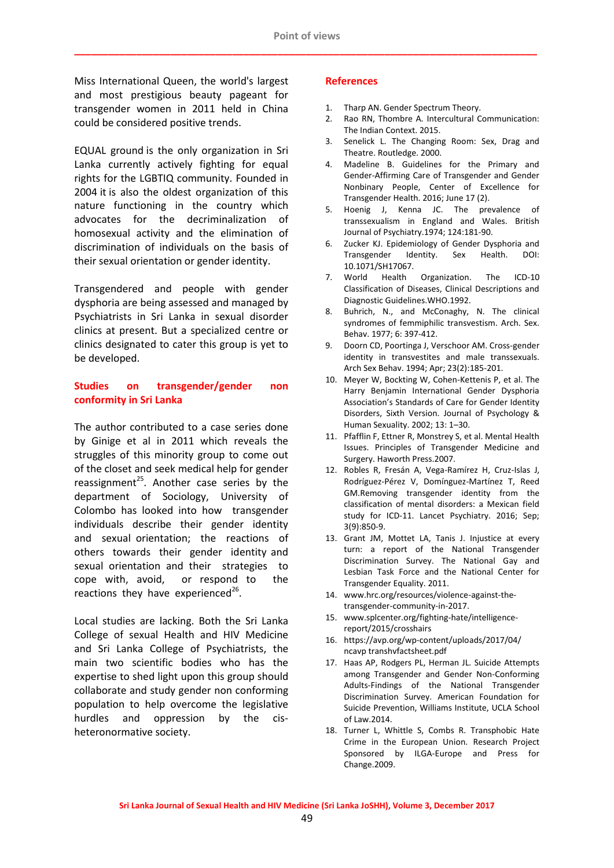Miss International Queen, the world's largest and most prestigious beauty pageant for transgender women in 2011 held in China could be considered positive trends.

EQUAL ground is the only organization in Sri Lanka currently actively fighting for equal rights for the LGBTIQ community. Founded in 2004 it is also the oldest organization of this nature functioning in the country which advocates for the decriminalization of homosexual activity and the elimination of discrimination of individuals on the basis of their sexual orientation or gender identity.

Transgendered and people with gender dysphoria are being assessed and managed by Psychiatrists in Sri Lanka in sexual disorder clinics at present. But a specialized centre or clinics designated to cater this group is yet to be developed.

### **Studies on transgender/gender non conformity in Sri Lanka**

The author contributed to a case series done by Ginige et al in 2011 which reveals the struggles of this minority group to come out of the closet and seek medical help for gender reassignment<sup>25</sup>. Another case series by the department of Sociology, University of Colombo has looked into how transgender individuals describe their gender identity and sexual orientation; the reactions of others towards their gender identity and sexual orientation and their strategies to cope with, avoid, or respond to the reactions they have experienced<sup>26</sup>.

Local studies are lacking. Both the Sri Lanka College of sexual Health and HIV Medicine and Sri Lanka College of Psychiatrists, the main two scientific bodies who has the expertise to shed light upon this group should collaborate and study gender non conforming population to help overcome the legislative hurdles and oppression by the cisheteronormative society.

#### **References**

- 1. Tharp AN. Gender Spectrum Theory.
- 2. Rao RN, Thombre A. Intercultural Communication: The Indian Context. 2015.
- 3. Senelick L. The Changing Room: Sex, Drag and Theatre. Routledge. 2000.
- 4. Madeline B. Guidelines for the Primary and Gender-Affirming Care of Transgender and Gender Nonbinary People, Center of Excellence for Transgender Health. 2016; June 17 (2).
- 5. Hoenig J, Kenna JC. The prevalence of transsexualism in England and Wales. British Journal of Psychiatry.1974; 124:181-90.
- 6. Zucker KJ. Epidemiology of Gender Dysphoria and Transgender Identity. Sex Health. DOI: 10.1071/SH17067.
- 7. World Health Organization. The ICD-10 Classification of Diseases, Clinical Descriptions and Diagnostic Guidelines.WHO.1992.
- 8. Buhrich, N., and McConaghy, N. The clinical syndromes of femmiphilic transvestism. Arch. Sex. Behav. 1977; 6: 397-412.
- 9. Doorn CD, Poortinga J, Verschoor AM. Cross-gender identity in transvestites and male transsexuals. Arch Sex Behav. 1994; Apr; 23(2):185-201.
- 10. Meyer W, Bockting W, Cohen-Kettenis P, et al. The Harry Benjamin International Gender Dysphoria Association's Standards of Care for Gender Identity Disorders, Sixth Version. Journal of Psychology & Human Sexuality. 2002; 13: 1–30.
- 11. Pfafflin F, Ettner R, Monstrey S, et al. Mental Health Issues. Principles of Transgender Medicine and Surgery. Haworth Press.2007.
- 12. Robles R, Fresán A, Vega-Ramírez H, Cruz-Islas J, Rodríguez-Pérez V, Domínguez-Martínez T, Reed GM.Removing transgender identity from the classification of mental disorders: a Mexican field study for ICD-11. Lancet Psychiatry. 2016; Sep; 3(9):850-9.
- 13. Grant JM, Mottet LA, Tanis J. Injustice at every turn: a report of the National Transgender Discrimination Survey. The National Gay and Lesbian Task Force and the National Center for Transgender Equality. 2011.
- 14. www.hrc.org/resources/violence-against-thetransgender-community-in-2017.
- 15. www.splcenter.org/fighting-hate/intelligencereport/2015/crosshairs
- 16. https://avp.org/wp-content/uploads/2017/04/ ncavp transhvfactsheet.pdf
- 17. Haas AP, Rodgers PL, Herman JL. Suicide Attempts among Transgender and Gender Non-Conforming Adults-Findings of the National Transgender Discrimination Survey. American Foundation for Suicide Prevention, Williams Institute, UCLA School of Law.2014.
- 18. Turner L, Whittle S, Combs R. Transphobic Hate Crime in the European Union. Research Project Sponsored by ILGA-Europe and Press for Change.2009.